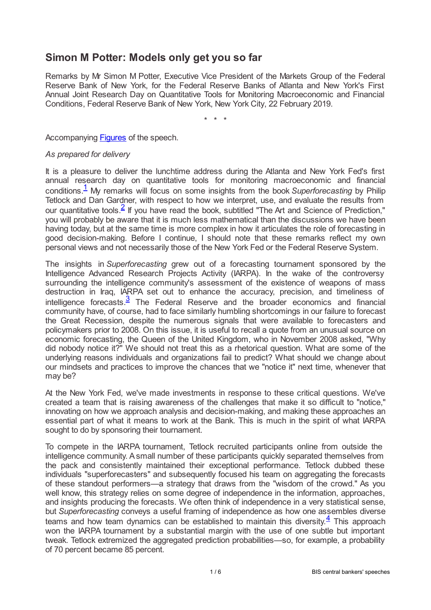## **Simon M Potter: Models only get you so far**

Remarks by Mr Simon M Potter, Executive Vice President of the Markets Group of the Federal Reserve Bank of New York, for the Federal Reserve Banks of Atlanta and New York's First Annual Joint Research Day on Quantitative Tools for Monitoring Macroeconomic and Financial Conditions, Federal Reserve Bank of New York, New York City, 22 February 2019.

\* \* \*

Accompanying **[Figures](www.bis.org/review/r190225c_slides.pdf)** of the speech.

## *As prepared for delivery*

<span id="page-0-1"></span><span id="page-0-0"></span>It is a pleasure to deliver the lunchtime address during the Atlanta and New York Fed's first annual research day on quantitative tools for monitoring macroeconomic and financial conditions.<sup>[1](#page-4-0)</sup> My remarks will focus on some insights from the book Superforecasting by Philip Tetlock and Dan Gardner, with respect to how we interpret, use, and evaluate the results from our quantitative tools. $\frac{2}{5}$  $\frac{2}{5}$  $\frac{2}{5}$  If you have read the book, subtitled "The Art and Science of Prediction," you will probably be aware that it is much less mathematical than the discussions we have been having today, but at the same time is more complex in how it articulates the role of forecasting in good decision-making. Before I continue, I should note that these remarks reflect my own personal views and not necessarily those of the New York Fed or the Federal Reserve System.

<span id="page-0-2"></span>The insights in *Superforecasting* grew out of a forecasting tournament sponsored by the Intelligence Advanced Research Projects Activity (IARPA). In the wake of the controversy surrounding the intelligence community's assessment of the existence of weapons of mass destruction in Iraq, IARPA set out to enhance the accuracy, precision, and timeliness of intelligence forecasts. $\frac{3}{2}$  $\frac{3}{2}$  $\frac{3}{2}$  The Federal Reserve and the broader economics and financial community have, of course, had to face similarly humbling shortcomings in our failure to forecast the Great Recession, despite the numerous signals that were available to forecasters and policymakers prior to 2008. On this issue, it is useful to recall a quote from an unusual source on economic forecasting, the Queen of the United Kingdom, who in November 2008 asked, "Why did nobody notice it?" We should not treat this as a rhetorical question. What are some of the underlying reasons individuals and organizations fail to predict? What should we change about our mindsets and practices to improve the chances that we "notice it" next time, whenever that may be?

At the New York Fed, we've made investments in response to these critical questions. We've created a team that is raising awareness of the challenges that make it so difficult to "notice," innovating on how we approach analysis and decision-making, and making these approaches an essential part of what it means to work at the Bank. This is much in the spirit of what IARPA sought to do by sponsoring their tournament.

<span id="page-0-3"></span>To compete in the IARPA tournament, Tetlock recruited participants online from outside the intelligence community. Asmall number of these participants quickly separated themselves from the pack and consistently maintained their exceptional performance. Tetlock dubbed these individuals "superforecasters" and subsequently focused his team on aggregating the forecasts of these standout performers—a strategy that draws from the "wisdom of the crowd." As you well know, this strategy relies on some degree of independence in the information, approaches, and insights producing the forecasts. We often think of independence in a very statistical sense, but *Superforecasting* conveys a useful framing of independence as how one assembles diverse teams and how team dynamics can be established to maintain this diversity. $\frac{4}{1}$  $\frac{4}{1}$  $\frac{4}{1}$  This approach won the IARPA tournament by a substantial margin with the use of one subtle but important tweak. Tetlock extremized the aggregated prediction probabilities—so, for example, a probability of 70 percent became 85 percent.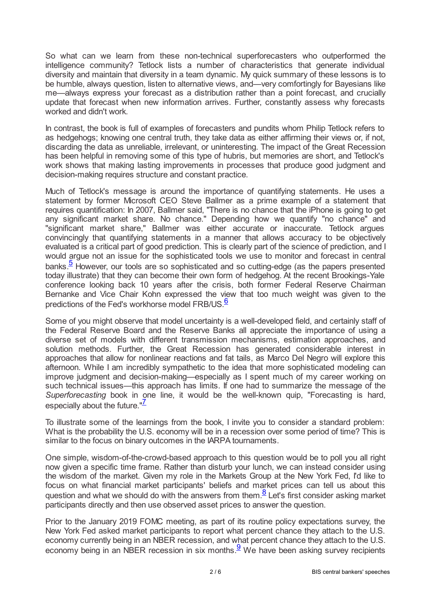So what can we learn from these non-technical superforecasters who outperformed the intelligence community? Tetlock lists a number of characteristics that generate individual diversity and maintain that diversity in a team dynamic. My quick summary of these lessons is to be humble, always question, listen to alternative views, and—very comfortingly for Bayesians like me—always express your forecast as a distribution rather than a point forecast, and crucially update that forecast when new information arrives. Further, constantly assess why forecasts worked and didn't work.

In contrast, the book is full of examples of forecasters and pundits whom Philip Tetlock refers to as hedgehogs; knowing one central truth, they take data as either affirming their views or, if not, discarding the data as unreliable, irrelevant, or uninteresting. The impact of the Great Recession has been helpful in removing some of this type of hubris, but memories are short, and Tetlock's work shows that making lasting improvements in processes that produce good judgment and decision-making requires structure and constant practice.

Much of Tetlock's message is around the importance of quantifying statements. He uses a statement by former Microsoft CEO Steve Ballmer as a prime example of a statement that requires quantification: In 2007, Ballmer said, "There is no chance that the iPhone is going to get any significant market share. No chance." Depending how we quantify "no chance" and "significant market share," Ballmer was either accurate or inaccurate. Tetlock argues convincingly that quantifying statements in a manner that allows accuracy to be objectively evaluated is a critical part of good prediction. This is clearly part of the science of prediction, and I would argue not an issue for the sophisticated tools we use to monitor and forecast in central banks.<sup>[5](#page-5-2)</sup> However, our tools are so sophisticated and so cutting-edge (as the papers presented today illustrate) that they can become their own form of hedgehog. At the recent Brookings-Yale conference looking back 10 years after the crisis, both former Federal Reserve Chairman Bernanke and Vice Chair Kohn expressed the view that too much weight was given to the predictions of the Fed's workhorse model FRB/US  $\frac{6}{5}$  $\frac{6}{5}$  $\frac{6}{5}$ 

<span id="page-1-1"></span><span id="page-1-0"></span>Some of you might observe that model uncertainty is a well-developed field, and certainly staff of the Federal Reserve Board and the Reserve Banks all appreciate the importance of using a diverse set of models with different transmission mechanisms, estimation approaches, and solution methods. Further, the Great Recession has generated considerable interest in approaches that allow for nonlinear reactions and fat tails, as Marco Del Negro will explore this afternoon. While I am incredibly sympathetic to the idea that more sophisticated modeling can improve judgment and decision-making—especially as I spent much of my career working on such technical issues—this approach has limits. If one had to summarize the message of the *Superforecasting* book in one line, it would be the well-known quip, "Forecasting is hard, especially about the future."<sup>[7](#page-5-4)</sup>

<span id="page-1-2"></span>To illustrate some of the learnings from the book, I invite you to consider a standard problem: What is the probability the U.S. economy will be in a recession over some period of time? This is similar to the focus on binary outcomes in the IARPA tournaments.

One simple, wisdom-of-the-crowd-based approach to this question would be to poll you all right now given a specific time frame. Rather than disturb your lunch, we can instead consider using the wisdom of the market. Given my role in the Markets Group at the New York Fed, I'd like to focus on what financial market participants' beliefs and market prices can tell us about this question and what we should do with the answers from them. $\frac{8}{5}$  $\frac{8}{5}$  $\frac{8}{5}$  Let's first consider asking market participants directly and then use observed asset prices to answer the question.

<span id="page-1-4"></span><span id="page-1-3"></span>Prior to the January 2019 FOMC meeting, as part of its routine policy expectations survey, the New York Fed asked market participants to report what percent chance they attach to the U.S. economy currently being in an NBER recession, and what percent chance they attach to the U.S. economy being in an NBER recession in six months.  $9$  We have been asking survey recipients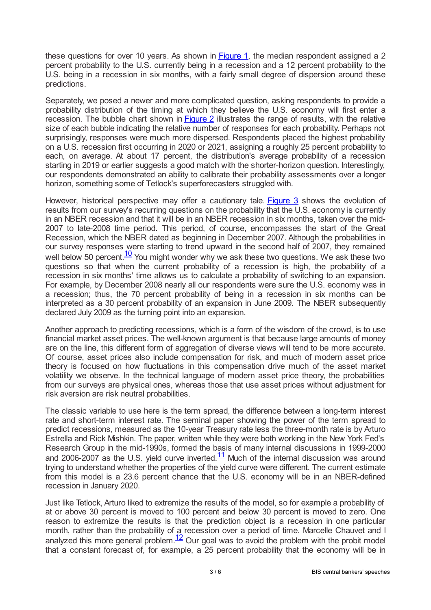these questions for over 10 years. As shown in **[Figure](www.newyorkfed.org/newsevents/speeches/2019/pot190222#photo1) 1**, the median respondent assigned a 2 percent probability to the U.S. currently being in a recession and a 12 percent probability to the U.S. being in a recession in six months, with a fairly small degree of dispersion around these predictions.

Separately, we posed a newer and more complicated question, asking respondents to provide a probability distribution of the timing at which they believe the U.S. economy will first enter a recession. The bubble chart shown in [Figure](www.newyorkfed.org/newsevents/speeches/2019/pot190222#photo2) 2 illustrates the range of results, with the relative size of each bubble indicating the relative number of responses for each probability. Perhaps not surprisingly, responses were much more dispersed. Respondents placed the highest probability on a U.S. recession first occurring in 2020 or 2021, assigning a roughly 25 percent probability to each, on average. At about 17 percent, the distribution's average probability of a recession starting in 2019 or earlier suggests a good match with the shorter-horizon question. Interestingly, our respondents demonstrated an ability to calibrate their probability assessments over a longer horizon, something some of Tetlock's superforecasters struggled with.

<span id="page-2-0"></span>However, historical perspective may offer a cautionary tale. [Figure](www.newyorkfed.org/newsevents/speeches/2019/pot190222#photo3) 3 shows the evolution of results from our survey's recurring questions on the probability that the U.S. economy is currently in an NBER recession and that it will be in an NBER recession in six months, taken over the mid-2007 to late-2008 time period. This period, of course, encompasses the start of the Great Recession, which the NBER dated as beginning in December 2007. Although the probabilities in our survey responses were starting to trend upward in the second half of 2007, they remained well below 50 percent. $\frac{10}{10}$  $\frac{10}{10}$  $\frac{10}{10}$  You might wonder why we ask these two questions. We ask these two questions so that when the current probability of a recession is high, the probability of a recession in six months' time allows us to calculate a probability of switching to an expansion. For example, by December 2008 nearly all our respondents were sure the U.S. economy was in a recession; thus, the 70 percent probability of being in a recession in six months can be interpreted as a 30 percent probability of an expansion in June 2009. The NBER subsequently declared July 2009 as the turning point into an expansion.

Another approach to predicting recessions, which is a form of the wisdom of the crowd, is to use financial market asset prices. The well-known argument is that because large amounts of money are on the line, this different form of aggregation of diverse views will tend to be more accurate. Of course, asset prices also include compensation for risk, and much of modern asset price theory is focused on how fluctuations in this compensation drive much of the asset market volatility we observe. In the technical language of modern asset price theory, the probabilities from our surveys are physical ones, whereas those that use asset prices without adjustment for risk aversion are risk neutral probabilities.

The classic variable to use here is the term spread, the difference between a long-term interest rate and short-term interest rate. The seminal paper showing the power of the term spread to predict recessions, measured as the 10-year Treasury rate less the three-month rate is by Arturo Estrella and Rick Mishkin. The paper, written while they were both working in the New York Fed's Research Group in the mid-1990s, formed the basis of many internal discussions in 1999-2000 and 2006-2007 as the U.S. yield curve inverted. $\frac{11}{1}$  $\frac{11}{1}$  $\frac{11}{1}$  Much of the internal discussion was around trying to understand whether the properties of the yield curve were different. The current estimate from this model is a 23.6 percent chance that the U.S. economy will be in an NBER-defined recession in January 2020.

<span id="page-2-2"></span><span id="page-2-1"></span>Just like Tetlock, Arturo liked to extremize the results of the model, so for example a probability of at or above 30 percent is moved to 100 percent and below 30 percent is moved to zero. One reason to extremize the results is that the prediction object is a recession in one particular month, rather than the probability of a recession over a period of time. Marcelle Chauvet and I analyzed this more general problem. $\frac{12}{2}$  $\frac{12}{2}$  $\frac{12}{2}$  Our goal was to avoid the problem with the probit model that a constant forecast of, for example, a 25 percent probability that the economy will be in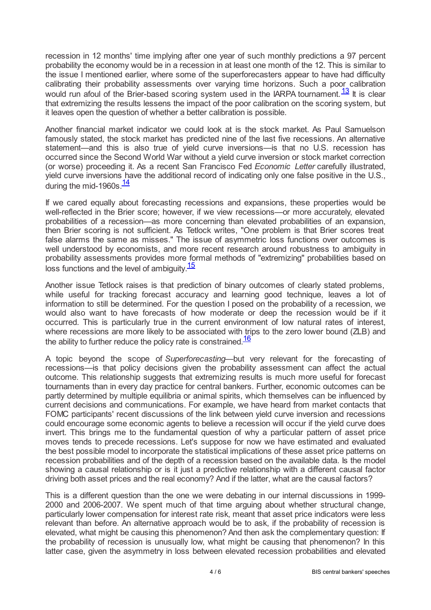recession in 12 months' time implying after one year of such monthly predictions a 97 percent probability the economy would be in a recession in at least one month of the 12. This is similar to the issue I mentioned earlier, where some of the superforecasters appear to have had difficulty calibrating their probability assessments over varying time horizons. Such a poor calibration would run afoul of the Brier-based scoring system used in the IARPA tournament.  $\frac{13}{1}$  $\frac{13}{1}$  $\frac{13}{1}$  It is clear that extremizing the results lessens the impact of the poor calibration on the scoring system, but it leaves open the question of whether a better calibration is possible.

<span id="page-3-0"></span>Another financial market indicator we could look at is the stock market. As Paul Samuelson famously stated, the stock market has predicted nine of the last five recessions. An alternative statement—and this is also true of yield curve inversions—is that no U.S. recession has occurred since the Second World War without a yield curve inversion or stock market correction (or worse) proceeding it. As a recent San Francisco Fed *Economic Letter* carefully illustrated, yield curve inversions have the additional record of indicating only one false positive in the U.S., during the mid-1960s.<sup>[14](#page-5-11)</sup>

<span id="page-3-1"></span>If we cared equally about forecasting recessions and expansions, these properties would be well-reflected in the Brier score; however, if we view recessions—or more accurately, elevated probabilities of a recession—as more concerning than elevated probabilities of an expansion, then Brier scoring is not sufficient. As Tetlock writes, "One problem is that Brier scores treat false alarms the same as misses." The issue of asymmetric loss functions over outcomes is well understood by economists, and more recent research around robustness to ambiguity in probability assessments provides more formal methods of "extremizing" probabilities based on loss functions and the level of ambiguity.<sup>[15](#page-5-12)</sup>

<span id="page-3-2"></span>Another issue Tetlock raises is that prediction of binary outcomes of clearly stated problems, while useful for tracking forecast accuracy and learning good technique, leaves a lot of information to still be determined. For the question I posed on the probability of a recession, we would also want to have forecasts of how moderate or deep the recession would be if it occurred. This is particularly true in the current environment of low natural rates of interest, where recessions are more likely to be associated with trips to the zero lower bound (ZLB) and the ability to further reduce the policy rate is constrained. $\frac{16}{ }$  $\frac{16}{ }$  $\frac{16}{ }$ 

<span id="page-3-3"></span>A topic beyond the scope of *Superforecasting—*but very relevant for the forecasting of recessions—is that policy decisions given the probability assessment can affect the actual outcome. This relationship suggests that extremizing results is much more useful for forecast tournaments than in every day practice for central bankers. Further, economic outcomes can be partly determined by multiple equilibria or animal spirits, which themselves can be influenced by current decisions and communications. For example, we have heard from market contacts that FOMC participants' recent discussions of the link between yield curve inversion and recessions could encourage some economic agents to believe a recession will occur if the yield curve does invert. This brings me to the fundamental question of why a particular pattern of asset price moves tends to precede recessions. Let's suppose for now we have estimated and evaluated the best possible model to incorporate the statistical implications of these asset price patterns on recession probabilities and of the depth of a recession based on the available data. Is the model showing a causal relationship or is it just a predictive relationship with a different causal factor driving both asset prices and the real economy? And if the latter, what are the causal factors?

This is a different question than the one we were debating in our internal discussions in 1999- 2000 and 2006-2007. We spent much of that time arguing about whether structural change, particularly lower compensation for interest rate risk, meant that asset price indicators were less relevant than before. An alternative approach would be to ask, if the probability of recession is elevated, what might be causing this phenomenon? And then ask the complementary question: If the probability of recession is unusually low, what might be causing that phenomenon? In this latter case, given the asymmetry in loss between elevated recession probabilities and elevated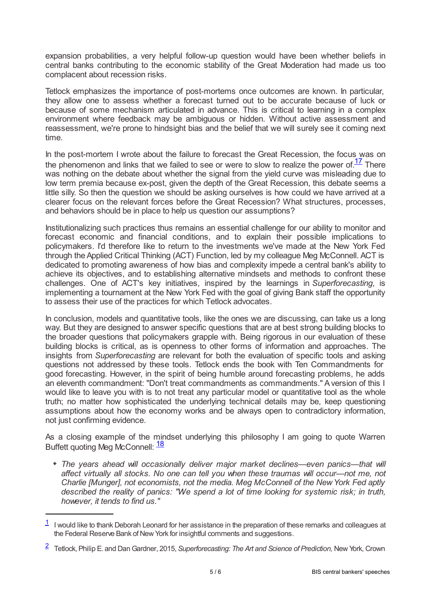expansion probabilities, a very helpful follow-up question would have been whether beliefs in central banks contributing to the economic stability of the Great Moderation had made us too complacent about recession risks.

Tetlock emphasizes the importance of post-mortems once outcomes are known. In particular, they allow one to assess whether a forecast turned out to be accurate because of luck or because of some mechanism articulated in advance. This is critical to learning in a complex environment where feedback may be ambiguous or hidden. Without active assessment and reassessment, we're prone to hindsight bias and the belief that we will surely see it coming next time.

<span id="page-4-2"></span>In the post-mortem I wrote about the failure to forecast the Great Recession, the focus was on the phenomenon and links that we failed to see or were to slow to realize the power of. $\frac{17}{1}$  $\frac{17}{1}$  $\frac{17}{1}$  There was nothing on the debate about whether the signal from the yield curve was misleading due to low term premia because ex-post, given the depth of the Great Recession, this debate seems a little silly. So then the question we should be asking ourselves is how could we have arrived at a clearer focus on the relevant forces before the Great Recession? What structures, processes, and behaviors should be in place to help us question our assumptions?

Institutionalizing such practices thus remains an essential challenge for our ability to monitor and forecast economic and financial conditions, and to explain their possible implications to policymakers. I'd therefore like to return to the investments we've made at the New York Fed through the Applied Critical Thinking (ACT) Function, led by my colleague Meg McConnell. ACT is dedicated to promoting awareness of how bias and complexity impede a central bank's ability to achieve its objectives, and to establishing alternative mindsets and methods to confront these challenges. One of ACT's key initiatives, inspired by the learnings in *Superforecasting*, is implementing a tournament at the New York Fed with the goal of giving Bank staff the opportunity to assess their use of the practices for which Tetlock advocates.

In conclusion, models and quantitative tools, like the ones we are discussing, can take us a long way. But they are designed to answer specific questions that are at best strong building blocks to the broader questions that policymakers grapple with. Being rigorous in our evaluation of these building blocks is critical, as is openness to other forms of information and approaches. The insights from *Superforecasting* are relevant for both the evaluation of specific tools and asking questions not addressed by these tools. Tetlock ends the book with Ten Commandments for good forecasting. However, in the spirit of being humble around forecasting problems, he adds an eleventh commandment: "Don't treat commandments as commandments." Aversion of this I would like to leave you with is to not treat any particular model or quantitative tool as the whole truth; no matter how sophisticated the underlying technical details may be, keep questioning assumptions about how the economy works and be always open to contradictory information, not just confirming evidence.

As a closing example of the mindset underlying this philosophy I am going to quote Warren Buffett quoting Meg McConnell: <sup>[18](#page-5-15)</sup>

<span id="page-4-3"></span>*The years ahead will occasionally deliver major market declines—even panics—that will affect virtually all stocks. No one can tell you when these traumas will occur—not me, not Charlie [Munger], not economists, not the media. Meg McConnell of the NewYork Fed aptly described the reality of panics: "We spend a lot of time looking for systemic risk; in truth, however, it tends to find us."*

<span id="page-4-0"></span> $1$  I would like to thank Deborah Leonard for her assistance in the preparation of these remarks and colleagues at the Federal Reserve Bank of New York for insightful comments and suggestions.

<span id="page-4-1"></span>Tetlock, Philip E. and DanGardner, 2015, *Superforecasting: The Art and Science of Prediction,* New York, Crown [2](#page-0-1)